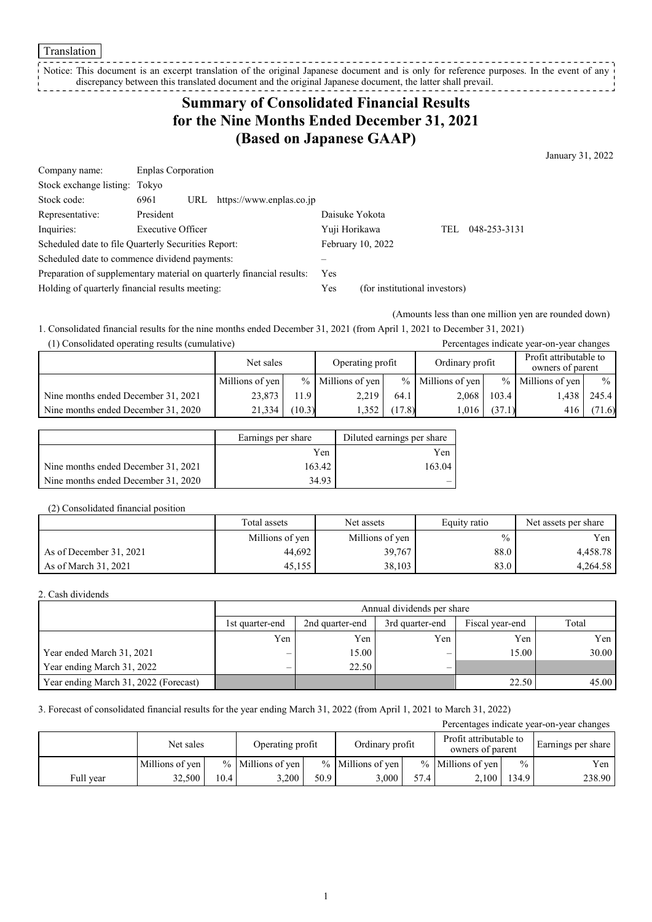#### Translation

Notice: This document is an excerpt translation of the original Japanese document and is only for reference purposes. In the event of any discrepancy between this translated document and the original Japanese document, the latter shall prevail. 

# **Summary of Consolidated Financial Results for the Nine Months Ended December 31, 2021 (Based on Japanese GAAP)**

January 31, 2022

| Company name:                                       | <b>Enplas Corporation</b> |     |                                                                       |                |                               |     |              |
|-----------------------------------------------------|---------------------------|-----|-----------------------------------------------------------------------|----------------|-------------------------------|-----|--------------|
| Stock exchange listing: Tokyo                       |                           |     |                                                                       |                |                               |     |              |
| Stock code:                                         | 6961                      | URL | https://www.enplas.co.jp                                              |                |                               |     |              |
| Representative:                                     | President                 |     |                                                                       | Daisuke Yokota |                               |     |              |
| Inquiries:                                          | Executive Officer         |     |                                                                       | Yuji Horikawa  |                               | TEL | 048-253-3131 |
| Scheduled date to file Quarterly Securities Report: |                           |     |                                                                       |                | February 10, 2022             |     |              |
| Scheduled date to commence dividend payments:       |                           |     |                                                                       |                |                               |     |              |
|                                                     |                           |     | Preparation of supplementary material on quarterly financial results: | <b>Yes</b>     |                               |     |              |
| Holding of quarterly financial results meeting:     |                           |     |                                                                       | Yes            | (for institutional investors) |     |              |

(Amounts less than one million yen are rounded down)

1. Consolidated financial results for the nine months ended December 31, 2021 (from April 1, 2021 to December 31, 2021) (1) Consolidated operating results (cumulative) Percentages indicate year-on-year changes

| 17 Consondated operating results (cumulative) |                 |        |                     |        |                     |        | I creentages indicate year-on-year enanges |             |
|-----------------------------------------------|-----------------|--------|---------------------|--------|---------------------|--------|--------------------------------------------|-------------|
|                                               | Net sales       |        | Operating profit    |        | Ordinary profit     |        | Profit attributable to<br>owners of parent |             |
|                                               | Millions of yen |        | $%$ Millions of yen |        | $%$ Millions of yen |        | $%$ Millions of yen                        | $\%$        |
| Nine months ended December 31, 2021           | 23,873          | 11.9   | 2,219               | 64.1   | 2,068               | 103.4  |                                            | 1.438 245.4 |
| Nine months ended December 31, 2020           | 21,334          | (10.3) | 352                 | (17.8) | 1.016               | (37.1) | 416                                        | (71.6)      |

|                                     | Earnings per share | Diluted earnings per share |
|-------------------------------------|--------------------|----------------------------|
|                                     | Yen                | Yen                        |
| Nine months ended December 31, 2021 | 163.42             | 163.04                     |
| Nine months ended December 31, 2020 | 34.93              |                            |

#### (2) Consolidated financial position

|                         | Total assets    | Net assets      | Equity ratio  | Net assets per share |
|-------------------------|-----------------|-----------------|---------------|----------------------|
|                         | Millions of yen | Millions of yen | $\frac{0}{0}$ | Yen                  |
| As of December 31, 2021 | 44.692          | 39,767          | 88.0          | 4.458.78             |
| As of March 31, 2021    | 45,155          | 38,103          | 83.0          | 4,264.58             |

### 2. Cash dividends

|                                       | Annual dividends per share |                                                                |     |       |       |  |  |  |
|---------------------------------------|----------------------------|----------------------------------------------------------------|-----|-------|-------|--|--|--|
|                                       | 1st quarter-end            | Total<br>Fiscal year-end<br>2nd quarter-end<br>3rd quarter-end |     |       |       |  |  |  |
|                                       | Yen                        | Yen                                                            | Yen | Yen   | Yen   |  |  |  |
| Year ended March 31, 2021             | –                          | 15.00                                                          | –   | 15.00 | 30.00 |  |  |  |
| Year ending March 31, 2022            | –                          | 22.50                                                          |     |       |       |  |  |  |
| Year ending March 31, 2022 (Forecast) |                            |                                                                |     | 22.50 | 45.00 |  |  |  |

## 3. Forecast of consolidated financial results for the year ending March 31, 2022 (from April 1, 2021 to March 31, 2022)

| Percentages indicate year-on-year changes |                 |      |                     |      |                     |      |                                            |               |                    |
|-------------------------------------------|-----------------|------|---------------------|------|---------------------|------|--------------------------------------------|---------------|--------------------|
|                                           | Net sales       |      | Operating profit    |      | Ordinary profit     |      | Profit attributable to<br>owners of parent |               | Earnings per share |
|                                           | Millions of yen |      | $%$ Millions of yen |      | $%$ Millions of ven |      | $%$ Millions of ven                        | $\frac{0}{0}$ | Yen                |
| Full year                                 | 32.500          | 10.4 | 3.200               | 50.9 | 3,000               | 57.4 | 2.100                                      | 134.9         | 238.90             |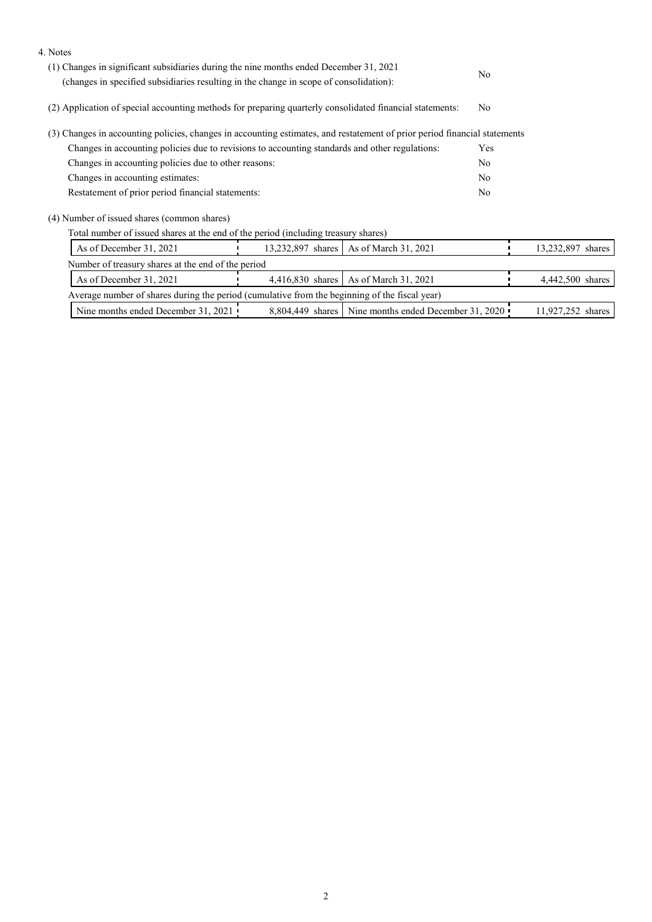| 4. Notes                                                                                                                                                                         |  |                                                        |                |                   |  |
|----------------------------------------------------------------------------------------------------------------------------------------------------------------------------------|--|--------------------------------------------------------|----------------|-------------------|--|
| (1) Changes in significant subsidiaries during the nine months ended December 31, 2021<br>(changes in specified subsidiaries resulting in the change in scope of consolidation): |  |                                                        |                |                   |  |
|                                                                                                                                                                                  |  |                                                        |                |                   |  |
| (2) Application of special accounting methods for preparing quarterly consolidated financial statements:                                                                         |  |                                                        |                |                   |  |
| (3) Changes in accounting policies, changes in accounting estimates, and restatement of prior period financial statements                                                        |  |                                                        |                |                   |  |
| Changes in accounting policies due to revisions to accounting standards and other regulations:                                                                                   |  |                                                        |                |                   |  |
| Changes in accounting policies due to other reasons:                                                                                                                             |  |                                                        | N <sub>o</sub> |                   |  |
| Changes in accounting estimates:                                                                                                                                                 |  |                                                        | N <sub>o</sub> |                   |  |
| Restatement of prior period financial statements:                                                                                                                                |  |                                                        |                |                   |  |
| (4) Number of issued shares (common shares)                                                                                                                                      |  |                                                        |                |                   |  |
| Total number of issued shares at the end of the period (including treasury shares)                                                                                               |  |                                                        |                |                   |  |
| As of December 31, 2021                                                                                                                                                          |  | 13,232,897 shares   As of March 31, 2021               |                | 13,232,897 shares |  |
| Number of treasury shares at the end of the period                                                                                                                               |  |                                                        |                |                   |  |
| As of December 31, 2021                                                                                                                                                          |  | 4,416,830 shares   As of March 31, 2021                |                | 4,442,500 shares  |  |
| Average number of shares during the period (cumulative from the beginning of the fiscal year)                                                                                    |  |                                                        |                |                   |  |
| Nine months ended December 31, 2021                                                                                                                                              |  | 8,804,449 shares   Nine months ended December 31, 2020 |                | 11,927,252 shares |  |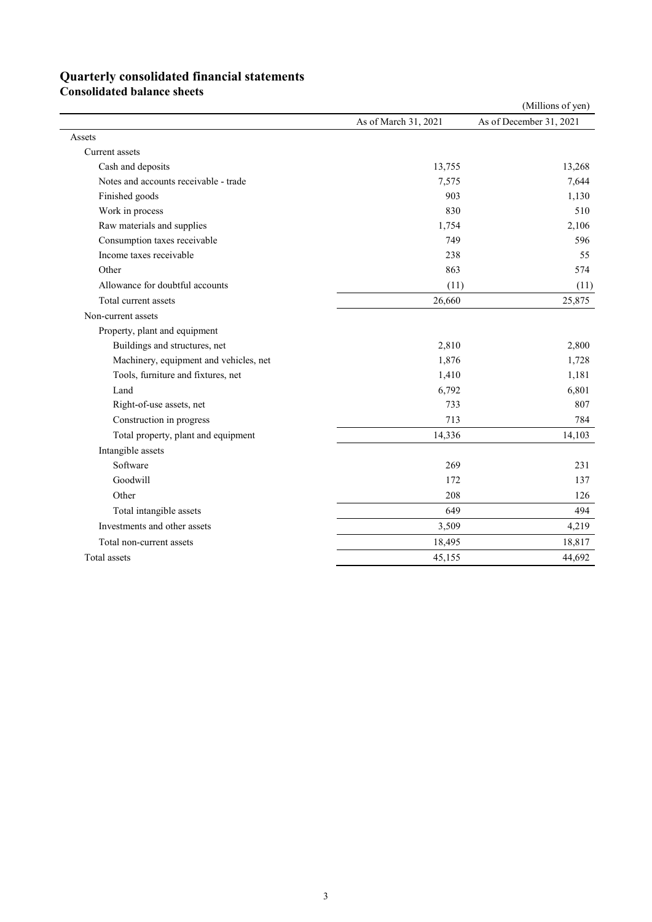# **Quarterly consolidated financial statements**

**Consolidated balance sheets** 

|                                        |                      | (Millions of yen)       |
|----------------------------------------|----------------------|-------------------------|
|                                        | As of March 31, 2021 | As of December 31, 2021 |
| Assets                                 |                      |                         |
| Current assets                         |                      |                         |
| Cash and deposits                      | 13,755               | 13,268                  |
| Notes and accounts receivable - trade  | 7,575                | 7,644                   |
| Finished goods                         | 903                  | 1,130                   |
| Work in process                        | 830                  | 510                     |
| Raw materials and supplies             | 1,754                | 2,106                   |
| Consumption taxes receivable           | 749                  | 596                     |
| Income taxes receivable                | 238                  | 55                      |
| Other                                  | 863                  | 574                     |
| Allowance for doubtful accounts        | (11)                 | (11)                    |
| Total current assets                   | 26,660               | 25,875                  |
| Non-current assets                     |                      |                         |
| Property, plant and equipment          |                      |                         |
| Buildings and structures, net          | 2,810                | 2,800                   |
| Machinery, equipment and vehicles, net | 1,876                | 1,728                   |
| Tools, furniture and fixtures, net     | 1,410                | 1,181                   |
| Land                                   | 6,792                | 6,801                   |
| Right-of-use assets, net               | 733                  | 807                     |
| Construction in progress               | 713                  | 784                     |
| Total property, plant and equipment    | 14,336               | 14,103                  |
| Intangible assets                      |                      |                         |
| Software                               | 269                  | 231                     |
| Goodwill                               | 172                  | 137                     |
| Other                                  | 208                  | 126                     |
| Total intangible assets                | 649                  | 494                     |
| Investments and other assets           | 3,509                | 4,219                   |
| Total non-current assets               | 18,495               | 18,817                  |
| Total assets                           | 45,155               | 44,692                  |
|                                        |                      |                         |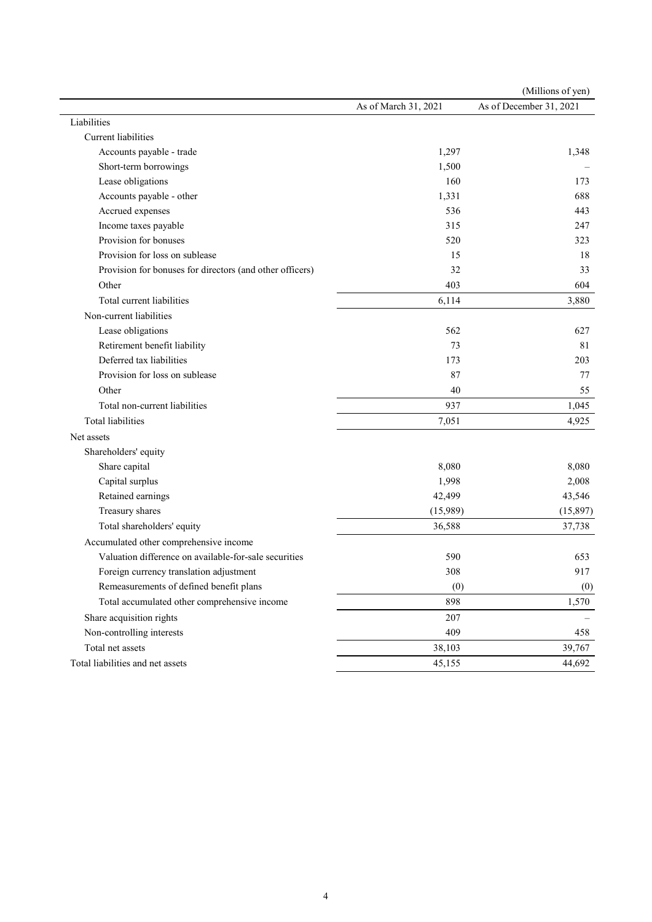|                                                          |                      | (Millions of yen)       |
|----------------------------------------------------------|----------------------|-------------------------|
|                                                          | As of March 31, 2021 | As of December 31, 2021 |
| Liabilities                                              |                      |                         |
| <b>Current liabilities</b>                               |                      |                         |
| Accounts payable - trade                                 | 1,297                | 1,348                   |
| Short-term borrowings                                    | 1,500                |                         |
| Lease obligations                                        | 160                  | 173                     |
| Accounts payable - other                                 | 1,331                | 688                     |
| Accrued expenses                                         | 536                  | 443                     |
| Income taxes payable                                     | 315                  | 247                     |
| Provision for bonuses                                    | 520                  | 323                     |
| Provision for loss on sublease                           | 15                   | 18                      |
| Provision for bonuses for directors (and other officers) | 32                   | 33                      |
| Other                                                    | 403                  | 604                     |
| Total current liabilities                                | 6,114                | 3,880                   |
| Non-current liabilities                                  |                      |                         |
| Lease obligations                                        | 562                  | 627                     |
| Retirement benefit liability                             | 73                   | 81                      |
| Deferred tax liabilities                                 | 173                  | 203                     |
| Provision for loss on sublease                           | 87                   | 77                      |
| Other                                                    | 40                   | 55                      |
| Total non-current liabilities                            | 937                  | 1,045                   |
| <b>Total liabilities</b>                                 | 7,051                | 4,925                   |
| Net assets                                               |                      |                         |
| Shareholders' equity                                     |                      |                         |
| Share capital                                            | 8,080                | 8,080                   |
| Capital surplus                                          | 1,998                | 2,008                   |
| Retained earnings                                        | 42,499               | 43,546                  |
| Treasury shares                                          | (15,989)             | (15,897)                |
| Total shareholders' equity                               | 36,588               | 37,738                  |
| Accumulated other comprehensive income                   |                      |                         |
| Valuation difference on available-for-sale securities    | 590                  | 653                     |
| Foreign currency translation adjustment                  | 308                  | 917                     |
| Remeasurements of defined benefit plans                  | (0)                  | (0)                     |
| Total accumulated other comprehensive income             | 898                  | 1,570                   |
| Share acquisition rights                                 | 207                  |                         |
| Non-controlling interests                                | 409                  | 458                     |
| Total net assets                                         | 38,103               | 39,767                  |
| Total liabilities and net assets                         | 45,155               | 44,692                  |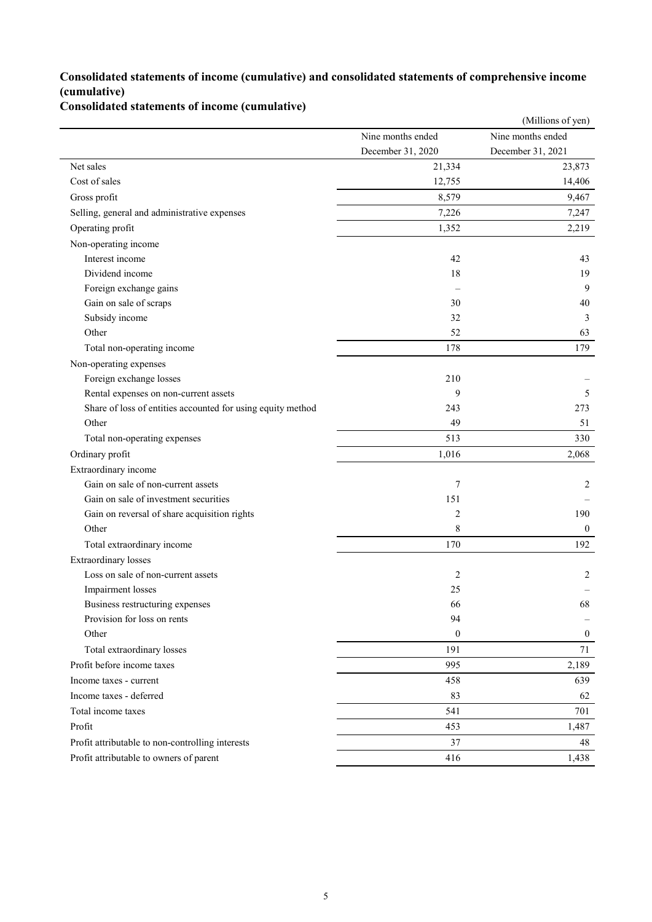## **Consolidated statements of income (cumulative) and consolidated statements of comprehensive income (cumulative)**

# **Consolidated statements of income (cumulative)**

|                                                             |                   | (Millions of yen) |
|-------------------------------------------------------------|-------------------|-------------------|
|                                                             | Nine months ended | Nine months ended |
|                                                             | December 31, 2020 | December 31, 2021 |
| Net sales                                                   | 21,334            | 23,873            |
| Cost of sales                                               | 12,755            | 14,406            |
| Gross profit                                                | 8,579             | 9,467             |
| Selling, general and administrative expenses                | 7,226             | 7,247             |
| Operating profit                                            | 1,352             | 2,219             |
| Non-operating income                                        |                   |                   |
| Interest income                                             | 42                | 43                |
| Dividend income                                             | 18                | 19                |
| Foreign exchange gains                                      |                   | 9                 |
| Gain on sale of scraps                                      | 30                | 40                |
| Subsidy income                                              | 32                | 3                 |
| Other                                                       | 52                | 63                |
| Total non-operating income                                  | 178               | 179               |
| Non-operating expenses                                      |                   |                   |
| Foreign exchange losses                                     | 210               |                   |
| Rental expenses on non-current assets                       | 9                 | 5                 |
| Share of loss of entities accounted for using equity method | 243               | 273               |
| Other                                                       | 49                | 51                |
| Total non-operating expenses                                | 513               | 330               |
| Ordinary profit                                             | 1,016             | 2,068             |
| Extraordinary income                                        |                   |                   |
| Gain on sale of non-current assets                          | 7                 | 2                 |
| Gain on sale of investment securities                       | 151               |                   |
| Gain on reversal of share acquisition rights                | $\overline{2}$    | 190               |
| Other                                                       | 8                 | $\mathbf{0}$      |
| Total extraordinary income                                  | 170               | 192               |
| <b>Extraordinary losses</b>                                 |                   |                   |
| Loss on sale of non-current assets                          | $\overline{2}$    | 2                 |
| Impairment losses                                           | 25                |                   |
| Business restructuring expenses                             | 66                | 68                |
| Provision for loss on rents                                 | 94                |                   |
| Other                                                       | $\boldsymbol{0}$  | $\mathbf{0}$      |
| Total extraordinary losses                                  | 191               | 71                |
| Profit before income taxes                                  | 995               | 2,189             |
| Income taxes - current                                      | 458               | 639               |
| Income taxes - deferred                                     | 83                | 62                |
| Total income taxes                                          | 541               | 701               |
| Profit                                                      | 453               | 1,487             |
| Profit attributable to non-controlling interests            | 37                | 48                |
| Profit attributable to owners of parent                     | 416               | 1,438             |